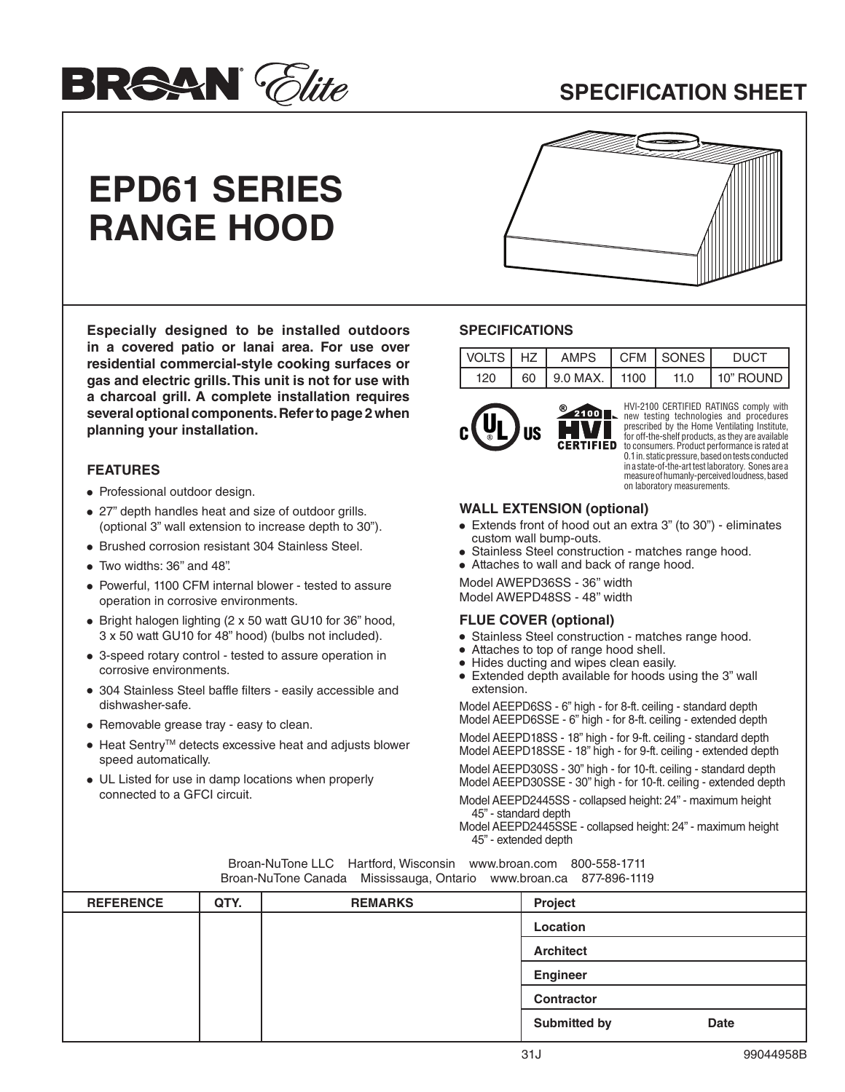

## **SPECIFICATION SHEET**

# **EPD61 SERIES RANGE HOOD**



**Especially designed to be installed outdoors in a covered patio or lanai area. For use over residential commercial-style cooking surfaces or gas and electric grills. This unit is not for use with a charcoal grill. A complete installation requires several optional components. Refer to page 2 when planning your installation.**

### **FEATURES**

- **•** Professional outdoor design.
- **•** 27" depth handles heat and size of outdoor grills. (optional 3" wall extension to increase depth to 30").
- **•** Brushed corrosion resistant 304 Stainless Steel.
- **•** Two widths: 36'' and 48''.
- **•** Powerful, 1100 CFM internal blower tested to assure operation in corrosive environments.
- **•** Bright halogen lighting (2 x 50 watt GU10 for 36" hood, 3 x 50 watt GU10 for 48" hood) (bulbs not included).
- **•** 3-speed rotary control tested to assure operation in corrosive environments.
- **•** 304 Stainless Steel baffle filters easily accessible and dishwasher-safe.
- **•** Removable grease tray easy to clean.
- **•** Heat SentryTM detects excessive heat and adjusts blower speed automatically.
- **•** UL Listed for use in damp locations when properly connected to a GFCI circuit.

#### **SPECIFICATIONS**

|     | IVOLTSIHZI AMPS ICFM ISONESI                       |      | <b>DUCT</b> |
|-----|----------------------------------------------------|------|-------------|
| 120 | $\begin{bmatrix} 60 \end{bmatrix}$ 9.0 MAX.   1100 | 11.0 | 10" ROUND   |



HVI-2100 CERTIFIED RATINGS comply with new testing technologies and procedures prescribed by the Home Ventilating Institute, for off-the-shelf products, as they are available to consumers. Product performance is rated at 0.1 in. static pressure, based on tests conducted in a state-of-the-art test laboratory. Sones are a measure of humanly-perceived loudness, based on laboratory measurements.

#### **WALL EXTENSION (optional)**

- **•** Extends front of hood out an extra 3" (to 30") eliminates custom wall bump-outs.
- **•** Stainless Steel construction matches range hood.
- **•** Attaches to wall and back of range hood.

Model AWEPD36SS - 36" width Model AWEPD48SS - 48'' width

#### **FLUE COVER (optional)**

- **•** Stainless Steel construction matches range hood.
- **•** Attaches to top of range hood shell.
- **•** Hides ducting and wipes clean easily.
- **•** Extended depth available for hoods using the 3" wall extension.

Model AEEPD6SS - 6" high - for 8-ft. ceiling - standard depth Model AEEPD6SSE - 6" high - for 8-ft. ceiling - extended depth

Model AEEPD18SS - 18" high - for 9-ft. ceiling - standard depth Model AEEPD18SSE - 18" high - for 9-ft. ceiling - extended depth

Model AEEPD30SS - 30" high - for 10-ft. ceiling - standard depth Model AEEPD30SSE - 30" high - for 10-ft. ceiling - extended depth

Model AEEPD2445SS - collapsed height: 24" - maximum height 45" - standard depth

Model AEEPD2445SSE - collapsed height: 24" - maximum height 45" - extended depth

| Divali-Nu lone Canada Mississauga, Oniano www.proan.ca or roso-1119 |      |                |                             |  |  |
|---------------------------------------------------------------------|------|----------------|-----------------------------|--|--|
| <b>REFERENCE</b>                                                    | QTY. | <b>REMARKS</b> | <b>Project</b>              |  |  |
|                                                                     |      |                | Location                    |  |  |
|                                                                     |      |                | <b>Architect</b>            |  |  |
|                                                                     |      |                | <b>Engineer</b>             |  |  |
|                                                                     |      |                | <b>Contractor</b>           |  |  |
|                                                                     |      |                | Submitted by<br><b>Date</b> |  |  |

Broan-NuTone LLC Hartford, Wisconsin www.broan.com 800-558-1711 Broan-NuTone Canada Mississauga, Ontario www.broan.ca 877-896-1119